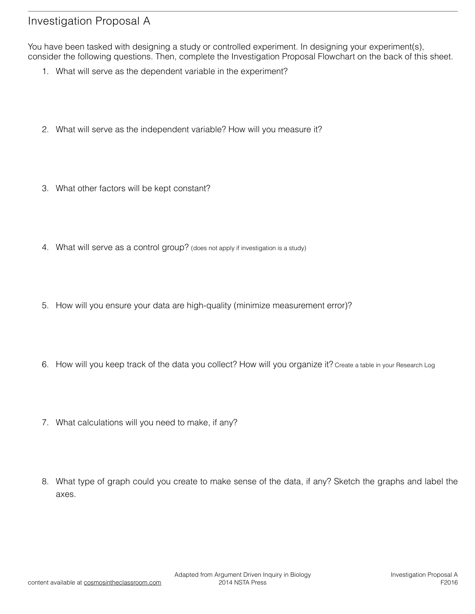## Investigation Proposal A

You have been tasked with designing a study or controlled experiment. In designing your experiment(s), consider the following questions. Then, complete the Investigation Proposal Flowchart on the back of this sheet.

- 1. What will serve as the dependent variable in the experiment?
- 2. What will serve as the independent variable? How will you measure it?
- 3. What other factors will be kept constant?
- 4. What will serve as a control group? (does not apply if investigation is a study)
- 5. How will you ensure your data are high-quality (minimize measurement error)?
- 6. How will you keep track of the data you collect? How will you organize it? Create a table in your Research Log
- 7. What calculations will you need to make, if any?
- 8. What type of graph could you create to make sense of the data, if any? Sketch the graphs and label the axes.